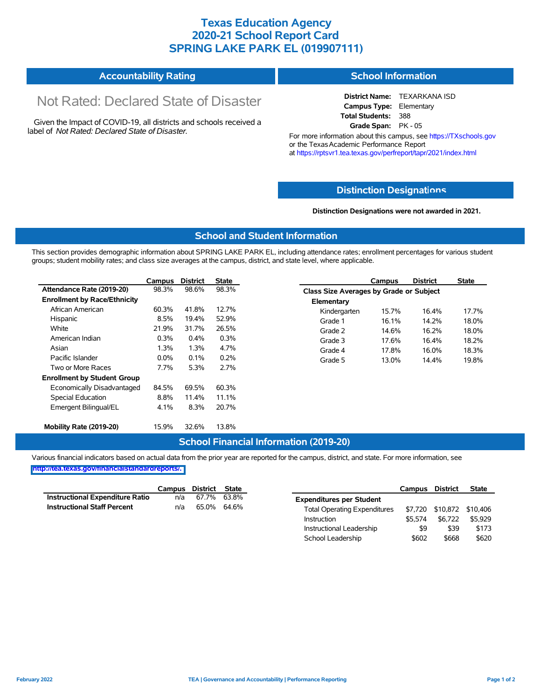## **Texas Education Agency 2020-21 School Report Card SPRING LAKE PARK EL (019907111)**

| <b>Accountability Rating</b> | <b>School Information</b> |
|------------------------------|---------------------------|
|                              |                           |

# Not Rated: Declared State of Disaster

Given the Impact of COVID-19, all districts and schools received a label of *Not Rated: Declared State of Disaster.*

**District Name:** TEXARKANA ISD **Campus Type:** Elementary **Total Students:** 388 **Grade Span:** PK - 05

For more information about this campus, see https://TXschools.gov or the Texas Academic Performance Report at https://rptsvr1.tea.texas.gov/perfreport/tapr/2021/index.html

#### **Distinction Designat[ions](https://TXschools.gov)**

**Distinction Designations were not awarded in 2021.**

School Leadership  $$602$  \$668 \$620

#### **School and Student Information**

This section provides demographic information about SPRING LAKE PARK EL, including attendance rates; enrollment percentages for various student groups; student mobility rates; and class size averages at the campus, district, and state level, where applicable.

|                                     | Campus  | <b>District</b> | State |              | Campus                                  | <b>District</b> | <b>State</b> |  |  |
|-------------------------------------|---------|-----------------|-------|--------------|-----------------------------------------|-----------------|--------------|--|--|
| Attendance Rate (2019-20)           | 98.3%   | 98.6%           | 98.3% |              | Class Size Averages by Grade or Subject |                 |              |  |  |
| <b>Enrollment by Race/Ethnicity</b> |         |                 |       | Elementary   |                                         |                 |              |  |  |
| African American                    | 60.3%   | 41.8%           | 12.7% | Kindergarten | 15.7%                                   | 16.4%           | 17.7%        |  |  |
| Hispanic                            | 8.5%    | 19.4%           | 52.9% | Grade 1      | 16.1%                                   | 14.2%           | 18.0%        |  |  |
| White                               | 21.9%   | 31.7%           | 26.5% | Grade 2      | 14.6%                                   | 16.2%           | 18.0%        |  |  |
| American Indian                     | 0.3%    | 0.4%            | 0.3%  | Grade 3      | 17.6%                                   | 16.4%           | 18.2%        |  |  |
| Asian                               | 1.3%    | 1.3%            | 4.7%  | Grade 4      | 17.8%                                   | 16.0%           | 18.3%        |  |  |
| Pacific Islander                    | $0.0\%$ | 0.1%            | 0.2%  | Grade 5      | 13.0%                                   | 14.4%           | 19.8%        |  |  |
| Two or More Races                   | 7.7%    | 5.3%            | 2.7%  |              |                                         |                 |              |  |  |
| <b>Enrollment by Student Group</b>  |         |                 |       |              |                                         |                 |              |  |  |
| Economically Disadvantaged          | 84.5%   | 69.5%           | 60.3% |              |                                         |                 |              |  |  |
| Special Education                   | 8.8%    | 11.4%           | 11.1% |              |                                         |                 |              |  |  |
| Emergent Bilingual/EL               | 4.1%    | 8.3%            | 20.7% |              |                                         |                 |              |  |  |
|                                     |         |                 |       |              |                                         |                 |              |  |  |
| Mobility Rate (2019-20)             | 15.9%   | 32.6%           | 13.8% |              |                                         |                 |              |  |  |

#### **School Financial Information (2019-20)**

Various financial indicators based on actual data from the prior year are reported for the campus, district, and state. For more information, see

**[http://tea.texas.gov/financialstandardreports/.](http://tea.texas.gov/financialstandardreports/)**

|                                    | Campus | District State |             |                                     | Campus  | <b>District</b>           | <b>State</b> |
|------------------------------------|--------|----------------|-------------|-------------------------------------|---------|---------------------------|--------------|
| Instructional Expenditure Ratio    | n/a    | 67.7% 63.8%    |             | <b>Expenditures per Student</b>     |         |                           |              |
| <b>Instructional Staff Percent</b> | n/a    |                | 65.0% 64.6% | <b>Total Operating Expenditures</b> |         | \$7,720 \$10,872 \$10,406 |              |
|                                    |        |                |             | Instruction                         | \$5.574 | \$6.722                   | \$5.929      |
|                                    |        |                |             | Instructional Leadership            | \$9     | \$39                      | \$173        |